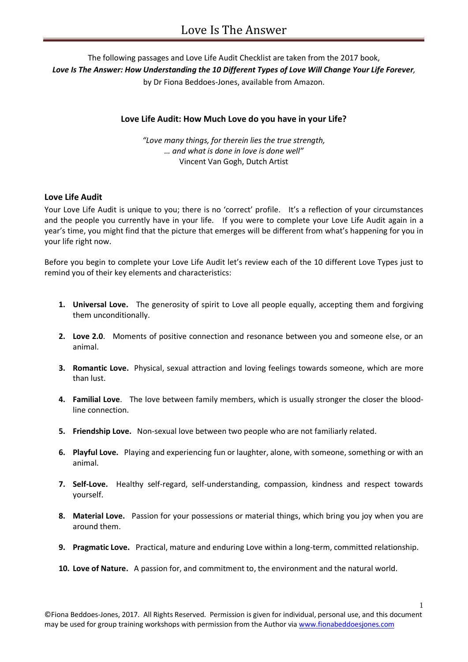# The following passages and Love Life Audit Checklist are taken from the 2017 book, *Love Is The Answer: How Understanding the 10 Different Types of Love Will Change Your Life Forever,*

by Dr Fiona Beddoes-Jones, available from Amazon.

## **Love Life Audit: How Much Love do you have in your Life?**

*"Love many things, for therein lies the true strength, … and what is done in love is done well"* Vincent Van Gogh, Dutch Artist

### **Love Life Audit**

Your Love Life Audit is unique to you; there is no 'correct' profile. It's a reflection of your circumstances and the people you currently have in your life. If you were to complete your Love Life Audit again in a year's time, you might find that the picture that emerges will be different from what's happening for you in your life right now.

Before you begin to complete your Love Life Audit let's review each of the 10 different Love Types just to remind you of their key elements and characteristics:

- **1. Universal Love.** The generosity of spirit to Love all people equally, accepting them and forgiving them unconditionally.
- **2. Love 2.0**. Moments of positive connection and resonance between you and someone else, or an animal.
- **3. Romantic Love.** Physical, sexual attraction and loving feelings towards someone, which are more than lust.
- **4. Familial Love**. The love between family members, which is usually stronger the closer the bloodline connection.
- **5. Friendship Love.** Non-sexual love between two people who are not familiarly related.
- **6. Playful Love.** Playing and experiencing fun or laughter, alone, with someone, something or with an animal.
- **7. Self-Love.** Healthy self-regard, self-understanding, compassion, kindness and respect towards yourself.
- **8. Material Love.** Passion for your possessions or material things, which bring you joy when you are around them.
- **9. Pragmatic Love.** Practical, mature and enduring Love within a long-term, committed relationship.
- **10. Love of Nature.** A passion for, and commitment to, the environment and the natural world.

1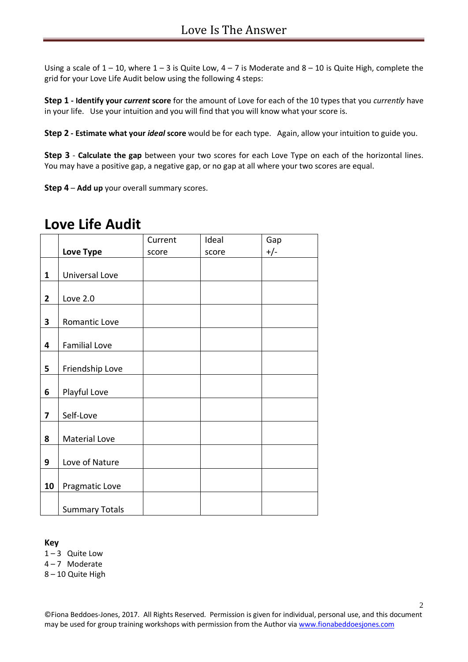Using a scale of  $1 - 10$ , where  $1 - 3$  is Quite Low,  $4 - 7$  is Moderate and  $8 - 10$  is Quite High, complete the grid for your Love Life Audit below using the following 4 steps:

**Step 1 - Identify your** *current* **score** for the amount of Love for each of the 10 types that you *currently* have in your life. Use your intuition and you will find that you will know what your score is.

**Step 2 - Estimate what your** *ideal* **score** would be for each type. Again, allow your intuition to guide you.

**Step 3** - **Calculate the gap** between your two scores for each Love Type on each of the horizontal lines. You may have a positive gap, a negative gap, or no gap at all where your two scores are equal.

**Step 4** – **Add up** your overall summary scores.

# **Love Life Audit**

|                |                       |         | Ideal |       |
|----------------|-----------------------|---------|-------|-------|
|                |                       | Current |       | Gap   |
|                | Love Type             | score   | score | $+/-$ |
|                |                       |         |       |       |
| $\mathbf{1}$   | Universal Love        |         |       |       |
|                |                       |         |       |       |
| $\overline{2}$ | <b>Love 2.0</b>       |         |       |       |
|                |                       |         |       |       |
| 3              | Romantic Love         |         |       |       |
|                |                       |         |       |       |
| 4              | <b>Familial Love</b>  |         |       |       |
|                |                       |         |       |       |
| 5              | Friendship Love       |         |       |       |
|                |                       |         |       |       |
| 6              | Playful Love          |         |       |       |
|                |                       |         |       |       |
| $\overline{7}$ | Self-Love             |         |       |       |
|                |                       |         |       |       |
| 8              | <b>Material Love</b>  |         |       |       |
|                |                       |         |       |       |
| 9              | Love of Nature        |         |       |       |
|                |                       |         |       |       |
| 10             | Pragmatic Love        |         |       |       |
|                |                       |         |       |       |
|                | <b>Summary Totals</b> |         |       |       |

### **Key**

 $1 - 3$  Quite Low

4 – 7 Moderate

8 – 10 Quite High

©Fiona Beddoes-Jones, 2017. All Rights Reserved. Permission is given for individual, personal use, and this document may be used for group training workshops with permission from the Author vi[a www.fionabeddoesjones.com](http://www.fionabeddoesjones.com/)